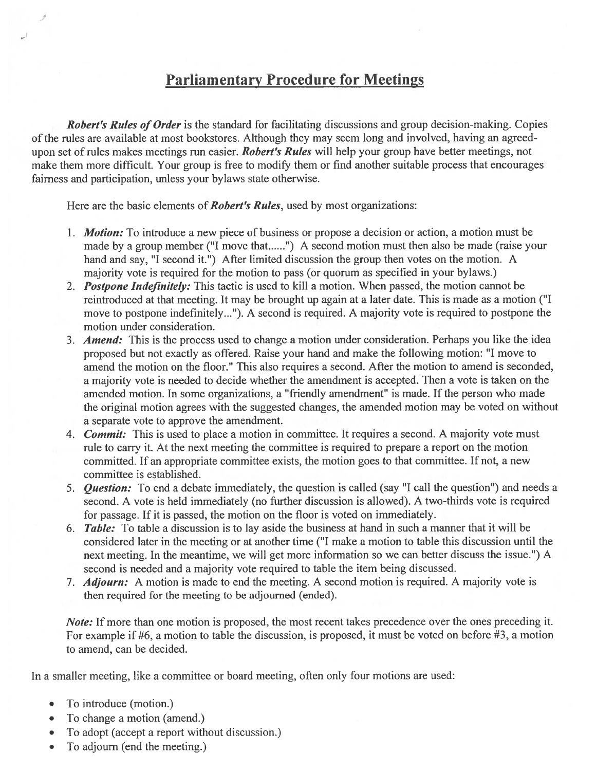### Parliamentary Procedure for Meetings

Robert's Rules of Order is the standard for facilitating discussions and group decision-making. Copies of the rules are available at most bookstores. Although they may seem long and involved, having an agreedupon set of rules makes meetings run easier. Robert's Rules will help your group have better meetings, not make them more difficult. Your group is free to modify them or find another suitable process that encourages fairness and participation, unless your bylaws state otherwise.

Here are the basic elements of **Robert's Rules**, used by most organizations:

- 1. **Motion:** To introduce a new piece of business or propose a decision or action, a motion must be made by a group member ("I move that......") A second motion must then also be made (raise your hand and say, "I second it.") After limited discussion the group then votes on the motion. A majority vote is required for the motion to pass (or quorum as specified in your bylaws.)
- 2. Postpone Indefinitely: This tactic is used to kill a motion. When passed, the motion cannot be reintroduced at that meeting. It may be brought up again at <sup>a</sup> later date. This is made as <sup>a</sup> motion ("I move to postpone indefinitely...'). A second is required. A majority vote is required to postpone the motion under consideration.
- 3. Amend: This is the process used to change a motion under consideration. Perhaps you like the idea proposed but not exactly as offered. Raise your hand and make the following motion: "I move to amend the motion on the floor." This also requires <sup>a</sup> second. After the motion to amend is seconded, <sup>a</sup> majority vote is needed to decide whether the amendment is accepted. Then <sup>a</sup> vote is taken on the amended motion. In some organizations, <sup>a</sup> "friendly amendment" is made. If the person who made the original motion agrees with the suggested changes, the amended motion may be voted on without <sup>a</sup> separate vote to approve the amendment.
- 4. **Commit:** This is used to place a motion in committee. It requires a second. A majority vote must rule to carry it. At the next meeting the committee is required to prepare <sup>a</sup> repor<sup>t</sup> on the motion committed. If an appropriate committee exists, the motion goes to that committee. If not, <sup>a</sup> new committee is established.
- 5. **Question:** To end a debate immediately, the question is called (say "I call the question") and needs a second. A vote is held immediately (no further discussion is allowed). A two-thirds vote is required for passage. If it is passed, the motion on the floor is voted on immediately.
- 6. Table: To table <sup>a</sup> discussion is to lay aside the business at hand in such <sup>a</sup> manner that it will be considered later in the meeting or at another time ("I make <sup>a</sup> motion to table this discussion until the next meeting. In the meantime, we will ge<sup>t</sup> more information so we can better discuss the issue.") A second is needed and <sup>a</sup> majority vote required to table the item being discussed.
- 7. *Adjourn:* A motion is made to end the meeting. A second motion is required. A majority vote is then required for the meeting to be adjourned (ended).

Note: If more than one motion is proposed, the most recent takes precedence over the ones preceding it. For example if #6, <sup>a</sup> motion to table the discussion, is proposed, it must be voted on before #3, <sup>a</sup> motion to amend, can be decided.

In <sup>a</sup> smaller meeting, like <sup>a</sup> committee or board meeting, often only four motions are used:

- •To introduce (motion.)
- •To change <sup>a</sup> motion (amend.)
- •To adopt (accept <sup>a</sup> repor<sup>t</sup> without discussion.)
- •To adjourn (end the meeting.)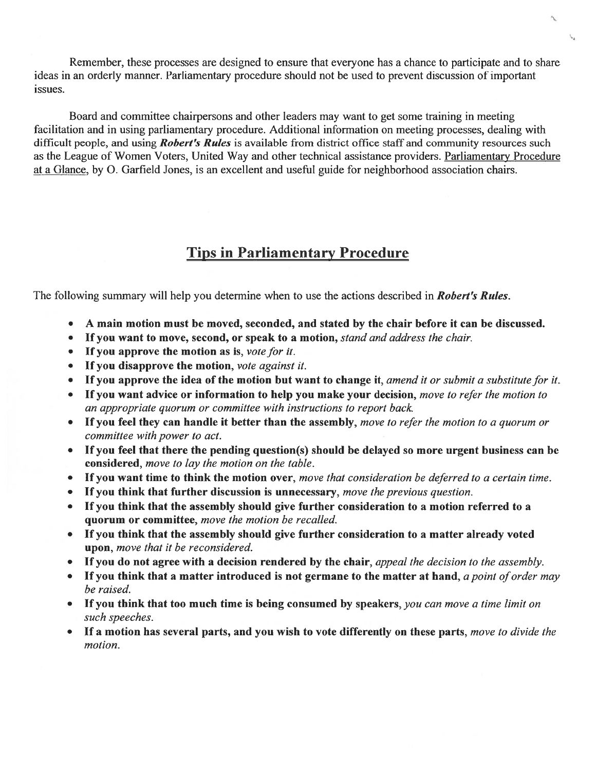Remember, these processes are designed to ensure that everyone has <sup>a</sup> chance to participate and to share ideas in an orderly manner. Parliamentary procedure should not be used to preven<sup>t</sup> discussion of important issues.

Board and committee chairpersons and other leaders may want to ge<sup>t</sup> some training in meeting facilitation and in using parliamentary procedure. Additional information on meeting processes, dealing with difficult people, and using *Robert's Rules* is available from district office staff and community resources such as the League of Women Voters, United Way and other technical assistance providers. Parliamentary Procedure at a Glance, by O. Garfield Jones, is an excellent and useful guide for neighborhood association chairs.

# Tips in Parliamentary Procedure

The following summary will help you determine when to use the actions described in **Robert's Rules**.

- •A main motion must be moved, seconded, and stated by the chair before it can be discussed.
- •If you want to move, second, or speak to a motion, stand and address the chair.
- If you approve the motion as is, vote for it.
- If you disapprove the motion, vote against it.
- If you approve the idea of the motion but want to change it, amend it or submit a substitute for it.
- $\bullet$ If you want advice or information to help you make your decision, move to refer the motion to an appropriate quorum or committee with instructions to repor<sup>t</sup> back.
- •If you feel they can handle it better than the assembly, move to refer the motion to a quorum or committee with power to act
- • If you feel that there the pending question(s) should be delayed so more urgen<sup>t</sup> business can be considered, move to lay the motion on the table.
- If you want time to think the motion over, move that consideration be deferred to a certain time.
- •If you think that further discussion is unnecessary, move the previous question.
- • If you think that the assembly should give further consideration to <sup>a</sup> motion referred to <sup>a</sup> quorum or committee, move the motion be recalled.
- • If you think that the assembly should give further consideration to <sup>a</sup> matter already voted upon, move that it be reconsidered.
- If you do not agree with a decision rendered by the chair, *appeal the decision to the assembly*
- If you think that a matter introduced is not germane to the matter at hand, a point of order may be raised.
- If you think that too much time is being consumed by speakers, you can move a time limit on such speeches.
- If a motion has several parts, and you wish to vote differently on these parts, move to divide the motion.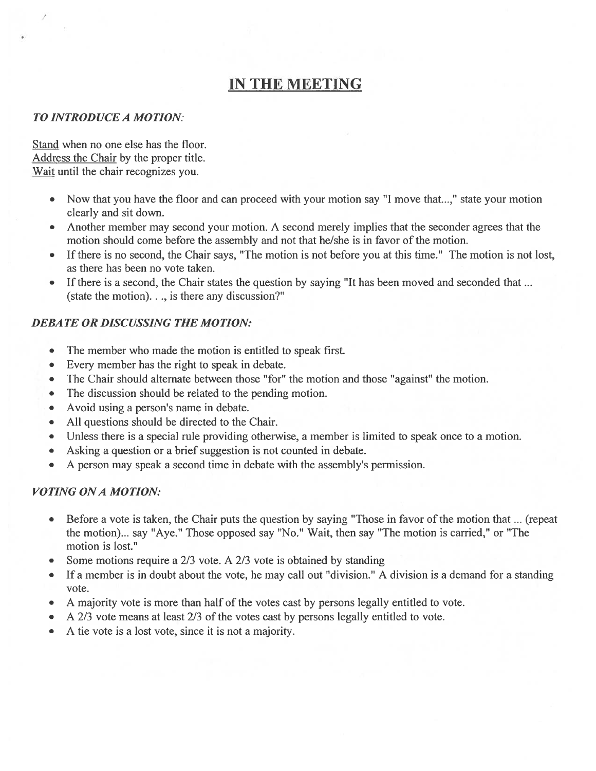# IN THE MEETING

#### TO INTRODUCEA MOTION:

Stand when no one else has the floor. Address the Chair by the proper title. Wait until the chair recognizes you.

- Now that you have the floor and can proceed with your motion say "I move that...," state your motion clearly and sit down.
- Another member may second your motion. A second merely implies that the seconder agrees that the motion should come before the assembly and not that he/she is in favor of the motion.
- • If there is no second, the Chair says, "The motion is not before you at this time." The motion is not lost, as there has been no vote taken.
- If there is <sup>a</sup> second, the Chair states the question by saying "It has been moved and seconded that (state the motion). . ., is there any discussion?"

### DEBATE OR DISCUSSING THE MOTION:

- •The member who made the motion is entitled to speak first.
- •Every member has the right to speak in debate.
- •The Chair should alternate between those "for" the motion and those "against" the motion.
- •The discussion should be related to the pending motion.
- •Avoid using <sup>a</sup> person's name in debate.
- •All questions should be directed to the Chair.
- •Unless there is <sup>a</sup> special rule providing otherwise, <sup>a</sup> member is limited to speak once to <sup>a</sup> motion.
- •Asking <sup>a</sup> question or <sup>a</sup> brief suggestion is not counted in debate.
- •A person may speak <sup>a</sup> second time in debate with the assembly's permission.

### VOTING ONA MOTION:

- • Before <sup>a</sup> vote is taken, the Chair puts the question by saying "Those in favor of the motion that ... (repeat the motion)... say "Aye." Those opposed say "No." Wait, then say "The motion is carried," or "The motion is lost."
- •Some motions require <sup>a</sup> 2/3 vote. A 2/3 vote is obtained by standing
- $\bullet$  If <sup>a</sup> member is in doubt about the vote, he may call out "division." A division is <sup>a</sup> demand for <sup>a</sup> standing vote.
- •A majority vote is more than half of the votes cast by persons legally entitled to vote.
- •A 2/3 vote means at least 2/3 of the votes cast by persons legally entitled to vote.
- •A tie vote is <sup>a</sup> lost vote, since it is not <sup>a</sup> majority.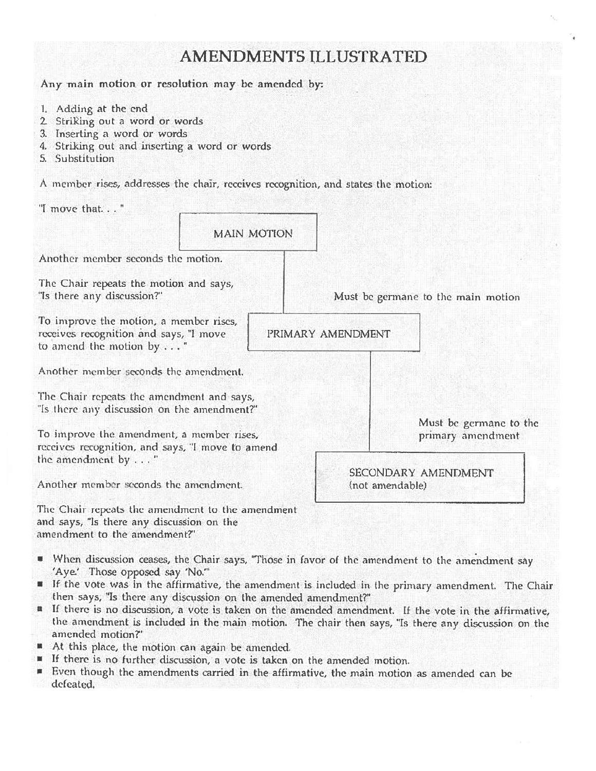### **AMENDMENTS ILLUSTRATED** Any main motion or resolution may be amended by: 1. Adding at the end 2. Striking out a word or words 3. Inserting a word or words 4. Striking out and inserting a word or words 5. Substitution A member rises, addresses the chair, receives recognition, and states the motion: "I move that..." **MAIN MOTION** Another member seconds the motion. The Chair repeats the motion and says, "Is there any discussion?" Must be germane to the main motion To improve the motion, a member rises, receives recognition and says, "I move PRIMARY AMENDMENT to amend the motion by . . . " Another member seconds the amendment. The Chair repeats the amendment and says, "Is there any discussion on the amendment?" Must be germane to the To improve the amendment, a member rises, primary amendment receives recognition, and says, "I move to amend the amendment by . . . " SECONDARY AMENDMENT Another member seconds the amendment. (not amendable) The Chair repeats the amendment to the amendment and says, "Is there any discussion on the

- When discussion ceases, the Chair says, "Those in favor of the amendment to the amendment say 'Aye.' Those opposed say 'No.""
- " If the vote was in the affirmative, the amendment is included in the primary amendment. The Chair then says, "Is there any discussion on the amended amendment?"
- If there is no discussion, a vote is taken on the amended amendment. If the vote in the affirmative, the amendment is included in the main motion. The chair then says, "Is there any discussion on the amended motion?"
- At this place, the motion can again be amended.

amendment to the amendment?"

- If there is no further discussion, a vote is taken on the amended motion.
- Even though the amendments carried in the affirmative, the main motion as amended can be defeated.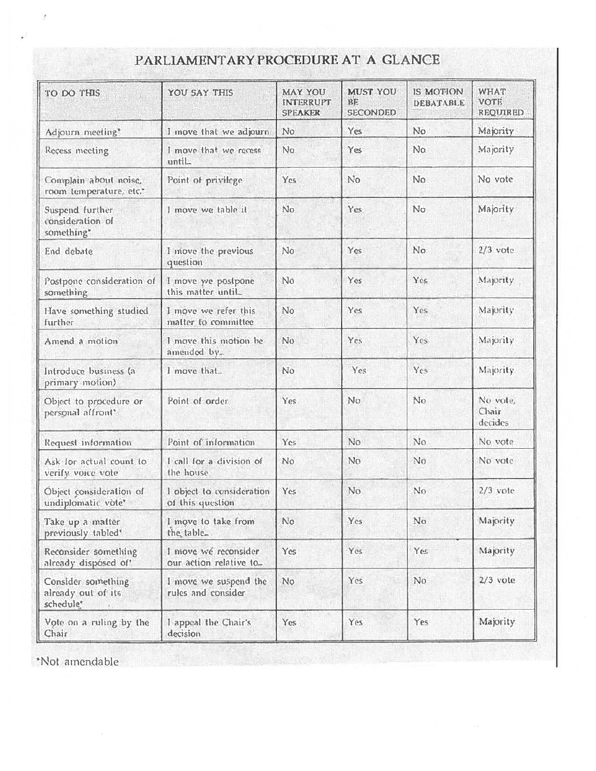| TO DO THIS                                            | YOU SAY THIS                                    | <b>MAY YOU</b><br><b>INTERRUPT</b><br><b>SPEAKER</b> | <b>MUST YOU</b><br>BE<br><b>SECONDED</b> | IS MOTION<br>DEBATABLE | WHAT<br><b>VOTE</b><br><b>REQUIRED</b> |
|-------------------------------------------------------|-------------------------------------------------|------------------------------------------------------|------------------------------------------|------------------------|----------------------------------------|
| Adjourn meeting*                                      | I move that we adjourn                          | No                                                   | Yes                                      | No.                    | Majority                               |
| Recess meeting                                        | I move that we recess<br>until                  | No                                                   | Yes                                      | No.                    | Majority                               |
| Complain about noise,<br>room temperature, etc.*      | Point of privilege                              | Yes                                                  | No                                       | N <sub>o</sub>         | No vote                                |
| Suspend further<br>consideration of<br>something*     | I move we table it                              | No                                                   | Yes                                      | N <sub>o</sub>         | Majority                               |
| End debate                                            | I move the previous<br>question                 | No                                                   | Yes                                      | No                     | $2/3$ vote                             |
| Postpone consideration of<br>something                | I move we postpone<br>this matter until         | No                                                   | Yes                                      | Yes                    | Majority                               |
| Have something studied<br>further                     | I move we refer this<br>matter to committee     | No                                                   | Yes                                      | Yes                    | Majority                               |
| Amend a motion                                        | I move this motion be<br>amended by             | No                                                   | Yes                                      | Yes                    | Majority                               |
| Introduce business (a<br>primary motion)              | I move that                                     | No                                                   | Yes                                      | Yes                    | Majority.                              |
| Object to procedure or<br>personal affront'           | Point of order                                  | Yes                                                  | No                                       | No                     | No vote,<br>Chair<br>decides           |
| Request information                                   | Point of information                            | Yes.                                                 | No.                                      | No                     | No vote                                |
| Ask for actual count to<br>verify voice vote          | I call for a division of<br>the house           | No                                                   | No                                       | No                     | No vote                                |
| Object consideration of<br>undiplomatic vòte'         | I object to consideration<br>of this question   | Yes                                                  | No.                                      | No                     | $2/3$ vote                             |
| Take up a matter<br>previously tabled <sup>®</sup>    | I move to take from<br>the table.               | No                                                   | Yes                                      | No                     | Majority                               |
| Reconsider something<br>already dispósed of'          | I niove wé reconsider<br>our action relative to | Yes                                                  | Yes                                      | Yes                    | Majority                               |
| Consider something<br>already out of its<br>schedule* | I move we suspend the<br>rules and consider     | No                                                   | Yes                                      | No.                    | $2/3$ vote                             |
| Vote on a ruling by the<br>Chair.                     | I appeal the Chair's<br>decision                | Yes                                                  | Yes                                      | Yes                    | Majority                               |

# PARLIAMENTARY PROCEDURE AT A GLANCE

\*Not amendable

 $\vec{r}$